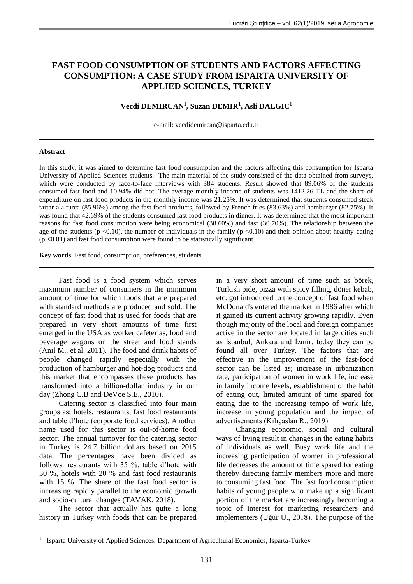# **FAST FOOD CONSUMPTION OF STUDENTS AND FACTORS AFFECTING CONSUMPTION: A CASE STUDY FROM ISPARTA UNIVERSITY OF APPLIED SCIENCES, TURKEY**

# **Vecdi DEMIRCAN<sup>1</sup> , Suzan DEMIR<sup>1</sup> , Asli DALGIC<sup>1</sup>**

e-mail: vecdidemircan@isparta.edu.tr

#### **Abstract**

In this study, it was aimed to determine fast food consumption and the factors affecting this consumption for Isparta University of Applied Sciences students. The main material of the study consisted of the data obtained from surveys, which were conducted by face-to-face interviews with 384 students. Result showed that 89.06% of the students consumed fast food and 10.94% did not. The average monthly income of students was 1412.26 TL and the share of expenditure on fast food products in the monthly income was 21.25%. It was determined that students consumed steak tartar ala turca (85.96%) among the fast food products, followed by French fries (83.63%) and hamburger (82.75%). It was found that 42.69% of the students consumed fast food products in dinner. It was determined that the most important reasons for fast food consumption were being economical (38.60%) and fast (30.70%). The relationship between the age of the students ( $p \le 0.10$ ), the number of individuals in the family ( $p \le 0.10$ ) and their opinion about healthy-eating  $(p \le 0.01)$  and fast food consumption were found to be statistically significant.

**Key words**: Fast food, consumption, preferences, students

Fast food is a food system which serves maximum number of consumers in the minimum amount of time for which foods that are prepared with standard methods are produced and sold. The concept of fast food that is used for foods that are prepared in very short amounts of time first emerged in the USA as worker cafeterias, food and beverage wagons on the street and food stands (Anıl M., et al. 2011). The food and drink habits of people changed rapidly especially with the production of hamburger and hot-dog products and this market that encompasses these products has transformed into a billion-dollar industry in our day (Zhong C.B and DeVoe S.E., 2010).

Catering sector is classified into four main groups as; hotels, restaurants, fast food restaurants and table d'hote (corporate food services). Another name used for this sector is out-of-home food sector. The annual turnover for the catering sector in Turkey is 24.7 billion dollars based on 2015 data. The percentages have been divided as follows: restaurants with 35 %, table d'hote with 30 %, hotels with 20 % and fast food restaurants with 15 %. The share of the fast food sector is increasing rapidly parallel to the economic growth and socio-cultural changes (TAVAK, 2018).

The sector that actually has quite a long history in Turkey with foods that can be prepared

1

in a very short amount of time such as börek, Turkish pide, pizza with spicy filling, döner kebab, etc. got introduced to the concept of fast food when McDonald's entered the market in 1986 after which it gained its current activity growing rapidly. Even though majority of the local and foreign companies active in the sector are located in large cities such as İstanbul, Ankara and İzmir; today they can be found all over Turkey. The factors that are effective in the improvement of the fast-food sector can be listed as; increase in urbanization rate, participation of women in work life, increase in family income levels, establishment of the habit of eating out, limited amount of time spared for eating due to the increasing tempo of work life, increase in young population and the impact of advertisements (Kılıçaslan R., 2019).

Changing economic, social and cultural ways of living result in changes in the eating habits of individuals as well. Busy work life and the increasing participation of women in professional life decreases the amount of time spared for eating thereby directing family members more and more to consuming fast food. The fast food consumption habits of young people who make up a significant portion of the market are increasingly becoming a topic of interest for marketing researchers and implementers (Uğur U., 2018). The purpose of the

<sup>&</sup>lt;sup>1</sup> Isparta University of Applied Sciences, Department of Agricultural Economics, Isparta-Turkey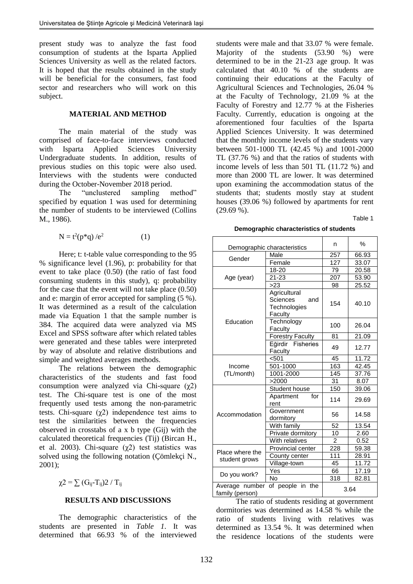present study was to analyze the fast food consumption of students at the Isparta Applied Sciences University as well as the related factors. It is hoped that the results obtained in the study will be beneficial for the consumers, fast food sector and researchers who will work on this subject.

# **MATERIAL AND METHOD**

The main material of the study was comprised of face-to-face interviews conducted with Isparta Applied Sciences University Undergraduate students. In addition, results of previous studies on this topic were also used. Interviews with the students were conducted during the October-November 2018 period.

The "unclustered sampling method" specified by equation 1 was used for determining the number of students to be interviewed (Collins M., 1986).

$$
N = t^2 (p^*q) / e^2 \tag{1}
$$

Here; t: t-table value corresponding to the 95 % significance level (1.96), p: probability for that event to take place (0.50) (the ratio of fast food consuming students in this study), q: probability for the case that the event will not take place (0.50) and e: margin of error accepted for sampling (5 %). It was determined as a result of the calculation made via Equation 1 that the sample number is 384. The acquired data were analyzed via MS Excel and SPSS software after which related tables were generated and these tables were interpreted by way of absolute and relative distributions and simple and weighted averages methods.

The relations between the demographic characteristics of the students and fast food consumption were analyzed via Chi-square  $(\gamma 2)$ test. The Chi-square test is one of the most frequently used tests among the non-parametric tests. Chi-square  $(\chi^2)$  independence test aims to test the similarities between the frequencies observed in crosstabs of a x b type (Gij) with the calculated theoretical frequencies (Tij) (Bircan H., et al. 2003). Chi-square  $(\gamma 2)$  test statistics was solved using the following notation (Çömlekçi N., 2001);

# $χ2 = ∑ (G<sub>ij</sub>-T<sub>ij</sub>)2 / T<sub>ij</sub>$

### **RESULTS AND DISCUSSIONS**

The demographic characteristics of the students are presented in *Table 1*. It was determined that 66.93 % of the interviewed students were male and that 33.07 % were female. Majority of the students (53.90 %) were determined to be in the 21-23 age group. It was calculated that 40.10 % of the students are continuing their educations at the Faculty of Agricultural Sciences and Technologies, 26.04 % at the Faculty of Technology, 21.09 % at the Faculty of Forestry and 12.77 % at the Fisheries Faculty. Currently, education is ongoing at the aforementioned four faculties of the Isparta Applied Sciences University. It was determined that the monthly income levels of the students vary between 501-1000 TL (42.45 %) and 1001-2000 TL (37.76 %) and that the ratios of students with income levels of less than 501 TL (11.72 %) and more than 2000 TL are lower. It was determined upon examining the accommodation status of the students that; students mostly stay at student houses (39.06 %) followed by apartments for rent  $(29.69\%)$ .

Table 1

**Demographic characteristics of students**

| Demographic characteristics       |                                                            | n              | $\%$  |
|-----------------------------------|------------------------------------------------------------|----------------|-------|
| Male                              |                                                            | 257            | 66.93 |
| Gender<br>Female                  |                                                            | 127            | 33.07 |
|                                   | 18-20                                                      | 79             | 20.58 |
| Age (year)                        | $21 - 23$                                                  | 207            | 53.90 |
|                                   | >23                                                        | 98             | 25.52 |
|                                   | Agricultural<br>Sciences<br>and<br>Technologies<br>Faculty | 154            | 40.10 |
| Education                         | Technology<br>Faculty                                      | 100            | 26.04 |
|                                   | <b>Forestry Faculty</b>                                    | 81             | 21.09 |
|                                   | Eğirdir Fisheries<br>Faculty                               | 49             | 12.77 |
|                                   | < 501                                                      | 45             | 11.72 |
| Income                            | 501-1000                                                   | 163            | 42.45 |
| (TL/month)                        | 1001-2000                                                  | 145            | 37.76 |
|                                   | >2000                                                      | 31             | 8.07  |
|                                   | Student house                                              | 150            | 39.06 |
|                                   | Apartment<br>for<br>rent                                   | 114            | 29.69 |
| Accommodation                     | Government<br>dormitory                                    | 56             | 14.58 |
|                                   | With family                                                | 52             | 13.54 |
|                                   | Private dormitory                                          | 10             | 2.60  |
|                                   | With relatives                                             | $\overline{2}$ | 0.52  |
| Place where the                   | Provincial center                                          | 228            | 59.38 |
| student grows                     | County center                                              | 111            | 28.91 |
|                                   | Village-town                                               | 45             | 11.72 |
| Do you work?                      | Yes                                                        | 66             | 17.19 |
|                                   | <b>No</b>                                                  | 318            | 82.81 |
| Average number<br>family (person) | of people in the                                           |                | 3.64  |

The ratio of students residing at government dormitories was determined as 14.58 % while the ratio of students living with relatives was determined as 13.54 %. It was determined when the residence locations of the students were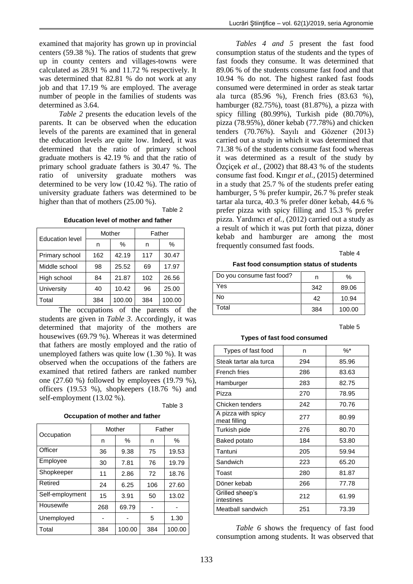examined that majority has grown up in provincial centers (59.38 %). The ratios of students that grew up in county centers and villages-towns were calculated as 28.91 % and 11.72 % respectively. It was determined that 82.81 % do not work at any job and that 17.19 % are employed. The average number of people in the families of students was determined as 3.64.

*Table 2* presents the education levels of the parents. It can be observed when the education levels of the parents are examined that in general the education levels are quite low. Indeed, it was determined that the ratio of primary school graduate mothers is 42.19 % and that the ratio of primary school graduate fathers is 30.47 %. The ratio of university graduate mothers was determined to be very low (10.42 %). The ratio of university graduate fathers was determined to be higher than that of mothers  $(25.00\%)$ .

Table 2

**Education level of mother and father**

| <b>Education level</b> | Mother |        | Father |        |
|------------------------|--------|--------|--------|--------|
|                        | n      | $\%$   | n      | $\%$   |
| Primary school         | 162    | 42.19  | 117    | 30.47  |
| Middle school          | 98     | 25.52  | 69     | 17.97  |
| High school            | 84     | 21.87  | 102    | 26.56  |
| University             | 40     | 10.42  | 96     | 25.00  |
| Total                  | 384    | 100.00 | 384    | 100.00 |

The occupations of the parents of the students are given in *Table 3*. Accordingly, it was determined that majority of the mothers are housewives (69.79 %). Whereas it was determined that fathers are mostly employed and the ratio of unemployed fathers was quite low (1.30 %). It was observed when the occupations of the fathers are examined that retired fathers are ranked number one (27.60 %) followed by employees (19.79 %), officers (19.53 %), shopkeepers (18.76 %) and self-employment (13.02 %).

Table 3

**Occupation of mother and father**

| Occupation      | Mother |        | Father |        |
|-----------------|--------|--------|--------|--------|
|                 | n      | ℅      | n      | %      |
| Officer         | 36     | 9.38   | 75     | 19.53  |
| Employee        | 30     | 7.81   | 76     | 19.79  |
| Shopkeeper      | 11     | 2.86   | 72     | 18.76  |
| Retired         | 24     | 6.25   | 106    | 27.60  |
| Self-employment | 15     | 3.91   | 50     | 13.02  |
| Housewife       | 268    | 69.79  |        |        |
| Unemployed      |        |        | 5      | 1.30   |
| Total           | 384    | 100.00 | 384    | 100.00 |

*Tables 4 and 5* present the fast food consumption status of the students and the types of fast foods they consume. It was determined that 89.06 % of the students consume fast food and that 10.94 % do not. The highest ranked fast foods consumed were determined in order as steak tartar ala turca (85.96 %), French fries (83.63 %), hamburger (82.75%), toast (81.87%), a pizza with spicy filling (80.99%), Turkish pide (80.70%), pizza (78.95%), döner kebab (77.78%) and chicken tenders (70.76%). Sayılı and Gözener (2013) carried out a study in which it was determined that 71.38 % of the students consume fast food whereas it was determined as a result of the study by Özçiçek *et al.,* (2002) that 88.43 % of the students consume fast food. Kıngır *et al.,* (2015) determined in a study that 25.7 % of the students prefer eating hamburger, 5 % prefer kumpir, 26.7 % prefer steak tartar ala turca, 40.3 % prefer döner kebab, 44.6 % prefer pizza with spicy filling and 15.3 % prefer pizza. Yardımcı *et al.,* (2012) carried out a study as a result of which it was put forth that pizza, döner kebab and hamburger are among the most frequently consumed fast foods.

Table 4

**Fast food consumption status of students**

| Do you consume fast food? | n   | $\%$   |
|---------------------------|-----|--------|
| Yes                       | 342 | 89.06  |
| No                        | 42  | 10.94  |
| Total                     | 384 | 100.00 |

#### Table 5

#### **Types of fast food consumed**

| Types of fast food                 | n   | $\%$ * |
|------------------------------------|-----|--------|
| Steak tartar ala turca             | 294 | 85.96  |
| French fries                       | 286 | 83.63  |
| Hamburger                          | 283 | 82.75  |
| Pizza                              | 270 | 78.95  |
| Chicken tenders                    | 242 | 70.76  |
| A pizza with spicy<br>meat filling | 277 | 80.99  |
| Turkish pide                       | 276 | 80.70  |
| Baked potato                       | 184 | 53.80  |
| Tantuni                            | 205 | 59.94  |
| Sandwich                           | 223 | 65.20  |
| Toast                              | 280 | 81.87  |
| Döner kebab                        | 266 | 77.78  |
| Grilled sheep's<br>intestines      | 212 | 61.99  |
| Meatball sandwich                  | 251 | 73.39  |

*Table 6* shows the frequency of fast food consumption among students. It was observed that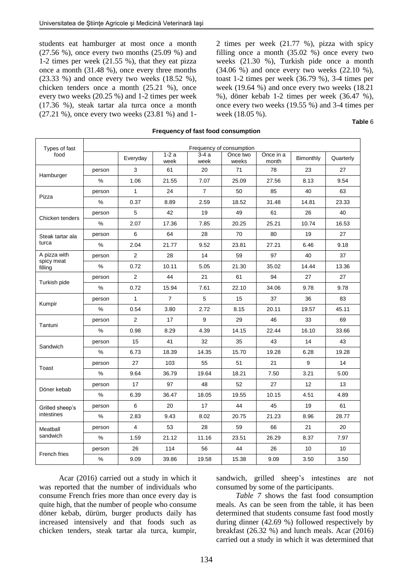students eat hamburger at most once a month (27.56 %), once every two months (25.09 %) and 1-2 times per week (21.55 %), that they eat pizza once a month (31.48 %), once every three months (23.33 %) and once every two weeks (18.52 %), chicken tenders once a month (25.21 %), once every two weeks (20.25 %) and 1-2 times per week (17.36 %), steak tartar ala turca once a month (27.21 %), once every two weeks (23.81 %) and 12 times per week (21.77 %), pizza with spicy filling once a month (35.02 %) once every two weeks (21.30 %), Turkish pide once a month (34.06 %) and once every two weeks (22.10 %), toast 1-2 times per week (36.79 %), 3-4 times per week (19.64 %) and once every two weeks (18.21 %), döner kebab 1-2 times per week (36.47 %), once every two weeks (19.55 %) and 3-4 times per week (18.05 %).

| Types of fast         | Frequency of consumption |                |                |                |                   |                    |           |           |
|-----------------------|--------------------------|----------------|----------------|----------------|-------------------|--------------------|-----------|-----------|
| food                  |                          | Everyday       | $1-2a$<br>week | $3-4a$<br>week | Once two<br>weeks | Once in a<br>month | Bimonthly | Quarterly |
|                       | person                   | 3              | 61             | 20             | 71                | 78                 | 23        | 27        |
| Hamburger             | $\frac{0}{0}$            | 1.06           | 21.55          | 7.07           | 25.09             | 27.56              | 8.13      | 9.54      |
|                       | person                   | $\mathbf{1}$   | 24             | $\overline{7}$ | 50                | 85                 | 40        | 63        |
| Pizza                 | %                        | 0.37           | 8.89           | 2.59           | 18.52             | 31.48              | 14.81     | 23.33     |
|                       | person                   | 5              | 42             | 19             | 49                | 61                 | 26        | 40        |
| Chicken tenders       | %                        | 2.07           | 17.36          | 7.85           | 20.25             | 25.21              | 10.74     | 16.53     |
| Steak tartar ala      | person                   | 6              | 64             | 28             | 70                | 80                 | 19        | 27        |
| turca                 | %                        | 2.04           | 21.77          | 9.52           | 23.81             | 27.21              | 6.46      | 9.18      |
| A pizza with          | person                   | $\overline{2}$ | 28             | 14             | 59                | 97                 | 40        | 37        |
| spicy meat<br>filling | %                        | 0.72           | 10.11          | 5.05           | 21.30             | 35.02              | 14.44     | 13.36     |
|                       | person                   | 2              | 44             | 21             | 61                | 94                 | 27        | 27        |
| Turkish pide          | %                        | 0.72           | 15.94          | 7.61           | 22.10             | 34.06              | 9.78      | 9.78      |
|                       | person                   | $\mathbf{1}$   | $\overline{7}$ | 5              | 15                | 37                 | 36        | 83        |
| Kumpir                | $\frac{0}{0}$            | 0.54           | 3.80           | 2.72           | 8.15              | 20.11              | 19.57     | 45.11     |
|                       | person                   | 2              | 17             | 9              | 29                | 46                 | 33        | 69        |
| Tantuni               | %                        | 0.98           | 8.29           | 4.39           | 14.15             | 22.44              | 16.10     | 33.66     |
|                       | person                   | 15             | 41             | 32             | 35                | 43                 | 14        | 43        |
| Sandwich              | $\frac{0}{0}$            | 6.73           | 18.39          | 14.35          | 15.70             | 19.28              | 6.28      | 19.28     |
|                       | person                   | 27             | 103            | 55             | 51                | 21                 | 9         | 14        |
| Toast                 | %                        | 9.64           | 36.79          | 19.64          | 18.21             | 7.50               | 3.21      | 5.00      |
|                       | person                   | 17             | 97             | 48             | 52                | 27                 | 12        | 13        |
| Döner kebab           | %                        | 6.39           | 36.47          | 18.05          | 19.55             | 10.15              | 4.51      | 4.89      |
| Grilled sheep's       | person                   | 6              | 20             | 17             | 44                | 45                 | 19        | 61        |
| intestines            | $\%$                     | 2.83           | 9.43           | 8.02           | 20.75             | 21.23              | 8.96      | 28.77     |
| Meatball              | person                   | 4              | 53             | 28             | 59                | 66                 | 21        | 20        |
| sandwich              | %                        | 1.59           | 21.12          | 11.16          | 23.51             | 26.29              | 8.37      | 7.97      |
|                       | person                   | 26             | 114            | 56             | 44                | 26                 | 10        | 10        |
| French fries          | %                        | 9.09           | 39.86          | 19.58          | 15.38             | 9.09               | 3.50      | 3.50      |

#### **Frequency of fast food consumption**

Acar (2016) carried out a study in which it was reported that the number of individuals who consume French fries more than once every day is quite high, that the number of people who consume döner kebab, dürüm, burger products daily has increased intensively and that foods such as chicken tenders, steak tartar ala turca, kumpir, sandwich, grilled sheep's intestines are not consumed by some of the participants.

*Table 7* shows the fast food consumption meals. As can be seen from the table, it has been determined that students consume fast food mostly during dinner (42.69 %) followed respectively by breakfast (26.32 %) and lunch meals. Acar (2016) carried out a study in which it was determined that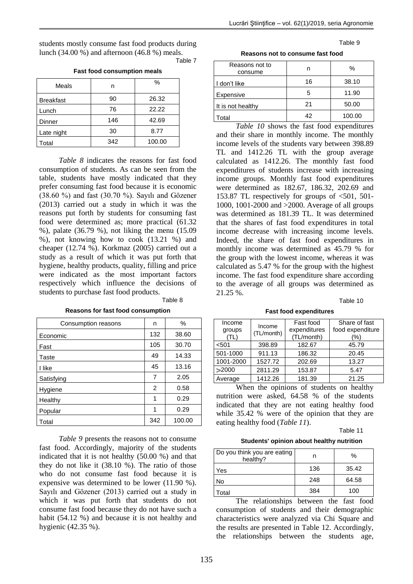Table 9

students mostly consume fast food products during lunch (34.00 %) and afternoon (46.8 %) meals. Table 7

# **Fast food consumption meals**

| Meals            | n   | $\%$   |
|------------------|-----|--------|
| <b>Breakfast</b> | 90  | 26.32  |
| Lunch            | 76  | 22.22  |
| Dinner           | 146 | 42.69  |
| Late night       | 30  | 8.77   |
| Total            | 342 | 100.00 |

*Table 8* indicates the reasons for fast food consumption of students. As can be seen from the table, students have mostly indicated that they prefer consuming fast food because it is economic (38.60 %) and fast (30.70 %). Sayılı and Gözener (2013) carried out a study in which it was the reasons put forth by students for consuming fast food were determined as; more practical (61.32 %), palate (36.79 %), not liking the menu (15.09 %), not knowing how to cook (13.21 %) and cheaper (12.74 %). Korkmaz (2005) carried out a study as a result of which it was put forth that hygiene, healthy products, quality, filling and price were indicated as the most important factors respectively which influence the decisions of students to purchase fast food products.

Table 8

| Consumption reasons | n   | $\%$   |
|---------------------|-----|--------|
| Economic            | 132 | 38.60  |
| Fast                | 105 | 30.70  |
| Taste               | 49  | 14.33  |
| I like              | 45  | 13.16  |
| Satisfying          | 7   | 2.05   |
| Hygiene             | 2   | 0.58   |
| Healthy             | 1   | 0.29   |
| Popular             | 1   | 0.29   |
| Total               | 342 | 100.00 |

**Reasons for fast food consumption**

*Table 9* presents the reasons not to consume fast food. Accordingly, majority of the students indicated that it is not healthy (50.00 %) and that they do not like it (38.10 %). The ratio of those who do not consume fast food because it is expensive was determined to be lower (11.90 %). Sayılı and Gözener (2013) carried out a study in which it was put forth that students do not consume fast food because they do not have such a habit (54.12 %) and because it is not healthy and hygienic (42.35 %).

**Reasons not to consume fast food**

| Reasons not to<br>consume |    | %      |
|---------------------------|----|--------|
| I don't like              | 16 | 38.10  |
| Expensive                 | 5  | 11.90  |
| It is not healthy         | 21 | 50.00  |
| Total                     | 42 | 100.00 |

*Table 10* shows the fast food expenditures and their share in monthly income. The monthly income levels of the students vary between 398.89 TL and 1412.26 TL with the group average calculated as 1412.26. The monthly fast food expenditures of students increase with increasing income groups. Monthly fast food expenditures were determined as 182.67, 186.32, 202.69 and 153.87 TL respectively for groups of  $\leq 501$ , 501-1000, 1001-2000 and >2000. Average of all groups was determined as 181.39 TL. It was determined that the shares of fast food expenditures in total income decrease with increasing income levels. Indeed, the share of fast food expenditures in monthly income was determined as 45.79 % for the group with the lowest income, whereas it was calculated as 5.47 % for the group with the highest income. The fast food expenditure share according to the average of all groups was determined as 21.25 %.

Table 10

**Fast food expenditures**

| Income<br>groups<br>TL) | Income<br>(TL/month) | Fast food<br>expenditures<br>(TL/month) | Share of fast<br>food expenditure<br>(%) |
|-------------------------|----------------------|-----------------------------------------|------------------------------------------|
| < 501                   | 398.89               | 182.67                                  | 45.79                                    |
| 501-1000                | 911.13               | 186.32                                  | 20.45                                    |
| 1001-2000               | 1527.72              | 202.69                                  | 13.27                                    |
| >2000                   | 2811.29              | 153.87                                  | 5.47                                     |
| Average                 | 1412.26              | 181.39                                  | 21.25                                    |

When the opinions of students on healthy nutrition were asked, 64.58 % of the students indicated that they are not eating healthy food while 35.42 % were of the opinion that they are eating healthy food (*Table 11*).

Table 11

**Students' opinion about healthy nutrition**

| Do you think you are eating<br>healthy? |     | ℅     |
|-----------------------------------------|-----|-------|
| Yes                                     | 136 | 35.42 |
| No                                      | 248 | 64.58 |
| Total                                   | 384 | 100   |

The relationships between the fast food consumption of students and their demographic characteristics were analyzed via Chi Square and the results are presented in Table 12. Accordingly, the relationships between the students age,